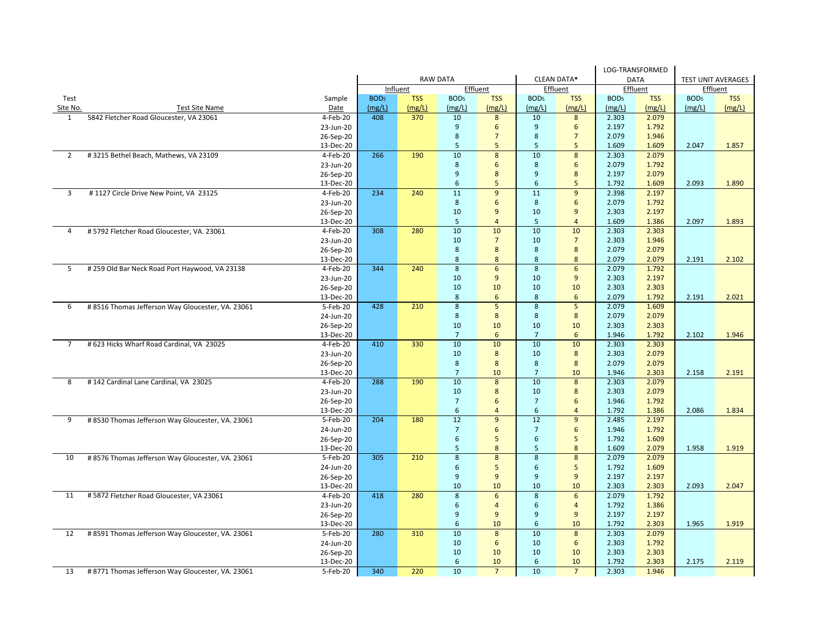|                |                                                   |                        |                  |            |                  |                |                  |                |                  | LOG-TRANSFORMED |                           |            |
|----------------|---------------------------------------------------|------------------------|------------------|------------|------------------|----------------|------------------|----------------|------------------|-----------------|---------------------------|------------|
|                |                                                   |                        | <b>RAW DATA</b>  |            |                  |                | CLEAN DATA*      |                | <b>DATA</b>      |                 | <b>TEST UNIT AVERAGES</b> |            |
|                |                                                   |                        |                  | Influent   | Effluent         |                |                  | Effluent       |                  | Effluent        | Effluent                  |            |
| Test           |                                                   | Sample                 | BOD <sub>5</sub> | <b>TSS</b> | BOD <sub>5</sub> | <b>TSS</b>     | BOD <sub>5</sub> | <b>TSS</b>     | BOD <sub>5</sub> | <b>TSS</b>      | BOD <sub>5</sub>          | <b>TSS</b> |
| Site No.       | <b>Test Site Name</b>                             | Date                   | (mg/L)           | (mg/L)     | (mg/L)           | (mg/L)         | (mg/L)           | (mg/L)         | (mg/L)           | (mg/L)          | (mg/L)                    | (mg/L)     |
| 1              | 5842 Fletcher Road Gloucester, VA 23061           | 4-Feb-20               | 408              | 370        | 10               | 8              | 10               | 8              | 2.303            | 2.079           |                           |            |
|                |                                                   | 23-Jun-20              |                  |            | $\overline{9}$   | 6              | 9                | 6              | 2.197            | 1.792           |                           |            |
|                |                                                   | 26-Sep-20              |                  |            | $\,$ 8 $\,$      | $\overline{7}$ | 8                | $\overline{7}$ | 2.079            | 1.946           |                           |            |
|                |                                                   | 13-Dec-20              |                  |            | 5                | 5              | 5                | 5              | 1.609            | 1.609           | 2.047                     | 1.857      |
| $\overline{2}$ | #3215 Bethel Beach, Mathews, VA 23109             | 4-Feb-20               | 266              | 190        | 10               | 8              | 10               | 8              | 2.303            | 2.079           |                           |            |
|                |                                                   | 23-Jun-20              |                  |            | $\,$ 8 $\,$      | 6              | 8                | 6              | 2.079            | 1.792           |                           |            |
|                |                                                   | 26-Sep-20              |                  |            | $\overline{9}$   | 8              | 9                | 8              | 2.197            | 2.079           |                           |            |
|                |                                                   | 13-Dec-20              |                  |            | 6                | 5              | 6                | 5              | 1.792            | 1.609           | 2.093                     | 1.890      |
| 3              | #1127 Circle Drive New Point, VA 23125            | 4-Feb-20               | 234              | 240        | 11               | 9              | 11               | 9              | 2.398            | 2.197           |                           |            |
|                |                                                   | 23-Jun-20              |                  |            | $\,$ 8 $\,$      | 6              | $\,$ 8 $\,$      | 6              | 2.079            | 1.792           |                           |            |
|                |                                                   | 26-Sep-20              |                  |            | 10               | $\overline{9}$ | 10               | 9              | 2.303            | 2.197           |                           |            |
|                |                                                   | 13-Dec-20              |                  |            | 5                | $\overline{4}$ | $\overline{5}$   | $\overline{4}$ | 1.609            | 1.386           | 2.097                     | 1.893      |
| 4              | #5792 Fletcher Road Gloucester, VA. 23061         | 4-Feb-20               | 308              | 280        | 10               | 10             | 10               | 10             | 2.303            | 2.303           |                           |            |
|                |                                                   | 23-Jun-20              |                  |            | 10               | $\overline{7}$ | 10               | $\overline{7}$ | 2.303            | 1.946           |                           |            |
|                |                                                   | 26-Sep-20              |                  |            | 8                | 8              | 8                | 8              | 2.079            | 2.079           |                           |            |
|                |                                                   | 13-Dec-20              |                  |            | 8                | 8              | 8                | 8              | 2.079            | 2.079           | 2.191                     | 2.102      |
| 5              | # 259 Old Bar Neck Road Port Haywood, VA 23138    | 4-Feb-20               | 344              | 240        | $\overline{8}$   | 6              | $\overline{8}$   | 6              | 2.079            | 1.792           |                           |            |
|                |                                                   | 23-Jun-20              |                  |            | 10               | 9              | 10               | 9              | 2.303            | 2.197           |                           |            |
|                |                                                   | 26-Sep-20              |                  |            | 10               | 10             | 10               | 10             | 2.303            | 2.303           |                           |            |
|                |                                                   | 13-Dec-20              |                  |            | 8                | 6              | 8                | 6              | 2.079            | 1.792           | 2.191                     | 2.021      |
| 6              | #8516 Thomas Jefferson Way Gloucester, VA. 23061  | 5-Feb-20               | 428              | 210        | $\overline{8}$   | $\overline{5}$ | $\overline{8}$   | $\overline{5}$ | 2.079            | 1.609           |                           |            |
|                |                                                   | 24-Jun-20              |                  |            | 8                | 8              | 8                | 8              | 2.079            | 2.079           |                           |            |
|                |                                                   | 26-Sep-20              |                  |            | 10               | 10             | 10               | 10             | 2.303            | 2.303           |                           |            |
|                |                                                   | 13-Dec-20              |                  |            | $\overline{7}$   | 6              | $\overline{7}$   | 6              | 1.946            | 1.792           | 2.102                     | 1.946      |
| $\overline{7}$ | # 623 Hicks Wharf Road Cardinal, VA 23025         | 4-Feb-20               | 410              | 330        | 10               | 10             | 10               | 10             | 2.303            | 2.303           |                           |            |
|                |                                                   | 23-Jun-20              |                  |            | 10               | 8              | 10               | 8              | 2.303            | 2.079           |                           |            |
|                |                                                   | 26-Sep-20              |                  |            | $\,8\,$          | 8              | $\bf 8$          | 8              | 2.079            | 2.079           |                           |            |
|                |                                                   | 13-Dec-20              |                  |            | $\overline{7}$   | 10             | $\overline{7}$   | 10             | 1.946            | 2.303           | 2.158                     | 2.191      |
| 8              | #142 Cardinal Lane Cardinal, VA 23025             | $4-Feb-20$             | 288              | 190        | 10               | 8              | 10               | 8              | 2.303            | 2.079           |                           |            |
|                |                                                   | 23-Jun-20              |                  |            | 10               | 8              | 10               | 8              | 2.303            | 2.079           |                           |            |
|                |                                                   | 26-Sep-20              |                  |            | $\overline{7}$   | 6              | $\overline{7}$   | 6              | 1.946            | 1.792           |                           |            |
|                |                                                   | 13-Dec-20              |                  |            | 6                | $\overline{a}$ | 6                | $\overline{4}$ | 1.792            | 1.386           | 2.086                     | 1.834      |
| 9              | # 8530 Thomas Jefferson Way Gloucester, VA. 23061 | 5-Feb-20               | 204              | 180        | 12               | 9              | 12               | 9              | 2.485            | 2.197           |                           |            |
|                |                                                   | 24-Jun-20              |                  |            | $\overline{7}$   | 6              | $\overline{7}$   | 6              | 1.946            | 1.792           |                           |            |
|                |                                                   | 26-Sep-20              |                  |            | 6                | 5              | 6                | 5              | 1.792            | 1.609           |                           |            |
|                |                                                   | 13-Dec-20              |                  |            | 5                | 8              | 5                | 8              | 1.609            | 2.079           | 1.958                     | 1.919      |
| 10             | # 8576 Thomas Jefferson Way Gloucester, VA. 23061 | 5-Feb-20               | 305              | 210        | $\overline{8}$   | 8              | 8                | 8              | 2.079            | 2.079           |                           |            |
|                |                                                   | 24-Jun-20              |                  |            | 6                | 5              | 6                | 5              | 1.792            | 1.609           |                           |            |
|                |                                                   | 26-Sep-20              |                  |            | $\overline{9}$   | $\overline{9}$ | 9                | $\overline{9}$ | 2.197            | 2.197           |                           |            |
|                |                                                   | 13-Dec-20              |                  |            | 10               | 10             | 10               | 10             | 2.303            | 2.303           | 2.093                     | 2.047      |
| 11             | #5872 Fletcher Road Gloucester, VA 23061          | 4-Feb-20               | 418              | 280        | $\overline{8}$   | 6              | $\overline{8}$   | 6              | 2.079            | 1.792           |                           |            |
|                |                                                   | 23-Jun-20              |                  |            | 6                | $\overline{4}$ | 6                | $\overline{4}$ | 1.792            | 1.386           |                           |            |
|                |                                                   |                        |                  |            | $\overline{9}$   | 9              | 9                | 9              | 2.197            | 2.197           |                           |            |
|                |                                                   | 26-Sep-20<br>13-Dec-20 |                  |            | 6                | 10             | 6                | 10             | 1.792            | 2.303           | 1.965                     | 1.919      |
| 12             |                                                   | 5-Feb-20               | 280              | 310        | 10               | 8              | 10               | 8              | 2.303            | 2.079           |                           |            |
|                | #8591 Thomas Jefferson Way Gloucester, VA. 23061  | 24-Jun-20              |                  |            | 10               | 6              | 10               | 6              | 2.303            | 1.792           |                           |            |
|                |                                                   | 26-Sep-20              |                  |            | 10               | 10             | 10               | 10             | 2.303            | 2.303           |                           |            |
|                |                                                   | 13-Dec-20              |                  |            | 6                | 10             | 6                | 10             | 1.792            | 2.303           | 2.175                     | 2.119      |
| 13             | # 8771 Thomas Jefferson Way Gloucester, VA. 23061 | 5-Feb-20               | 340              | 220        | 10               | $\overline{7}$ | 10               | $\overline{7}$ | 2.303            | 1.946           |                           |            |
|                |                                                   |                        |                  |            |                  |                |                  |                |                  |                 |                           |            |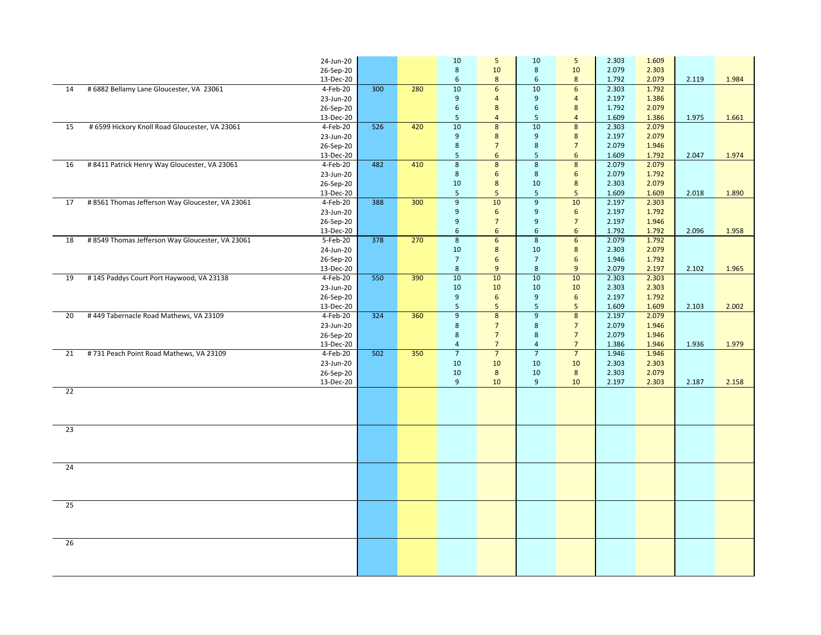|    |                                                  | 24-Jun-20  |     |     | $10\,$           | 5                | 10               | $5\phantom{.0}$  | 2.303 | 1.609 |       |       |
|----|--------------------------------------------------|------------|-----|-----|------------------|------------------|------------------|------------------|-------|-------|-------|-------|
|    |                                                  | 26-Sep-20  |     |     | 8                | 10               | 8                | 10               | 2.079 | 2.303 |       |       |
|    |                                                  | 13-Dec-20  |     |     | 6                | 8                | 6                | 8                | 1.792 | 2.079 | 2.119 | 1.984 |
| 14 | # 6882 Bellamy Lane Gloucester, VA 23061         | 4-Feb-20   | 300 | 280 | 10               | 6                | 10               | $6\phantom{1}$   | 2.303 | 1.792 |       |       |
|    |                                                  | 23-Jun-20  |     |     | 9                | $\overline{4}$   | 9                | $\overline{4}$   | 2.197 | 1.386 |       |       |
|    |                                                  | 26-Sep-20  |     |     | $\boldsymbol{6}$ | 8                | $\boldsymbol{6}$ | $8\phantom{1}$   | 1.792 | 2.079 |       |       |
|    |                                                  | 13-Dec-20  |     |     | 5                | $\overline{4}$   | $5\phantom{.}$   | $\overline{4}$   | 1.609 | 1.386 | 1.975 | 1.661 |
| 15 | # 6599 Hickory Knoll Road Gloucester, VA 23061   | 4-Feb-20   | 526 | 420 | 10               | $\bf 8$          | 10               | $\boldsymbol{8}$ | 2.303 | 2.079 |       |       |
|    |                                                  | 23-Jun-20  |     |     | 9                | 8                | 9                | 8                | 2.197 | 2.079 |       |       |
|    |                                                  | 26-Sep-20  |     |     | 8                | $\overline{7}$   | $\bf 8$          | $\overline{7}$   | 2.079 | 1.946 |       |       |
|    |                                                  | 13-Dec-20  |     |     | 5                | 6                | 5 <sup>5</sup>   | 6                | 1.609 | 1.792 | 2.047 | 1.974 |
| 16 | # 8411 Patrick Henry Way Gloucester, VA 23061    | 4-Feb-20   | 482 | 410 | $\bf 8$          | $\overline{8}$   | $\bf 8$          | $\bf 8$          | 2.079 | 2.079 |       |       |
|    |                                                  | 23-Jun-20  |     |     | 8                | 6                | 8                | 6                | 2.079 | 1.792 |       |       |
|    |                                                  | 26-Sep-20  |     |     | 10               | 8                | 10               | 8                | 2.303 | 2.079 |       |       |
|    |                                                  | 13-Dec-20  |     |     | 5                | 5                | $5\phantom{.0}$  | 5                | 1.609 | 1.609 | 2.018 | 1.890 |
| 17 | #8561 Thomas Jefferson Way Gloucester, VA 23061  | 4-Feb-20   | 388 | 300 | $\overline{9}$   | 10               | $\overline{9}$   | 10               | 2.197 | 2.303 |       |       |
|    |                                                  | 23-Jun-20  |     |     | 9                | 6                | 9                | $6\phantom{1}$   | 2.197 | 1.792 |       |       |
|    |                                                  | 26-Sep-20  |     |     | 9                | $\overline{7}$   | $\overline{9}$   | $\overline{7}$   | 2.197 | 1.946 |       |       |
|    |                                                  | 13-Dec-20  |     |     | 6                | $\boldsymbol{6}$ | $\boldsymbol{6}$ | $\boldsymbol{6}$ | 1.792 | 1.792 | 2.096 | 1.958 |
| 18 | # 8549 Thomas Jefferson Way Gloucester, VA 23061 | 5-Feb-20   | 378 | 270 | $\overline{8}$   | 6                | $\overline{8}$   | $6\overline{6}$  | 2.079 | 1.792 |       |       |
|    |                                                  | 24-Jun-20  |     |     | 10               | $8\phantom{1}$   | 10               | $\boldsymbol{8}$ | 2.303 | 2.079 |       |       |
|    |                                                  | 26-Sep-20  |     |     | $7\overline{ }$  | 6                | $7\overline{ }$  | $6\overline{6}$  | 1.946 | 1.792 |       |       |
|    |                                                  | 13-Dec-20  |     |     | 8                | 9                | $\boldsymbol{8}$ | 9                | 2.079 | 2.197 | 2.102 | 1.965 |
| 19 | #145 Paddys Court Port Haywood, VA 23138         | 4-Feb-20   | 550 | 390 | 10               | 10               | 10               | 10               | 2.303 | 2.303 |       |       |
|    |                                                  | 23-Jun-20  |     |     | 10               | 10               | 10               | 10               | 2.303 | 2.303 |       |       |
|    |                                                  | 26-Sep-20  |     |     | 9                | 6                | $\boldsymbol{9}$ | $6\overline{6}$  | 2.197 | 1.792 |       |       |
|    |                                                  | 13-Dec-20  |     |     | 5                | 5                | $5\phantom{.}$   | $5\phantom{.0}$  | 1.609 | 1.609 | 2.103 | 2.002 |
| 20 | #449 Tabernacle Road Mathews, VA 23109           | $4-Feb-20$ | 324 | 360 | $\overline{9}$   | 8                | $\overline{9}$   | $\overline{8}$   | 2.197 | 2.079 |       |       |
|    |                                                  | 23-Jun-20  |     |     | 8                | $\overline{7}$   | 8                | $\overline{7}$   | 2.079 | 1.946 |       |       |
|    |                                                  | 26-Sep-20  |     |     | 8                | $\overline{7}$   | $\bf 8$          | $\overline{7}$   | 2.079 | 1.946 |       |       |
|    |                                                  | 13-Dec-20  |     |     | $\overline{4}$   | $\overline{7}$   | $\overline{4}$   | $\overline{7}$   | 1.386 | 1.946 | 1.936 | 1.979 |
| 21 | #731 Peach Point Road Mathews, VA 23109          | 4-Feb-20   | 502 | 350 | $\overline{7}$   | $\overline{7}$   | $\overline{7}$   | $\overline{7}$   | 1.946 | 1.946 |       |       |
|    |                                                  | 23-Jun-20  |     |     | 10               | 10               | 10               | 10               | 2.303 | 2.303 |       |       |
|    |                                                  | 26-Sep-20  |     |     | 10               | 8                | 10               | $8\phantom{1}$   | 2.303 | 2.079 |       |       |
|    |                                                  | 13-Dec-20  |     |     | $\overline{9}$   | 10               | 9                | 10               | 2.197 | 2.303 | 2.187 | 2.158 |
| 22 |                                                  |            |     |     |                  |                  |                  |                  |       |       |       |       |
|    |                                                  |            |     |     |                  |                  |                  |                  |       |       |       |       |
|    |                                                  |            |     |     |                  |                  |                  |                  |       |       |       |       |
|    |                                                  |            |     |     |                  |                  |                  |                  |       |       |       |       |
| 23 |                                                  |            |     |     |                  |                  |                  |                  |       |       |       |       |
|    |                                                  |            |     |     |                  |                  |                  |                  |       |       |       |       |
|    |                                                  |            |     |     |                  |                  |                  |                  |       |       |       |       |
|    |                                                  |            |     |     |                  |                  |                  |                  |       |       |       |       |
| 24 |                                                  |            |     |     |                  |                  |                  |                  |       |       |       |       |
|    |                                                  |            |     |     |                  |                  |                  |                  |       |       |       |       |
|    |                                                  |            |     |     |                  |                  |                  |                  |       |       |       |       |
|    |                                                  |            |     |     |                  |                  |                  |                  |       |       |       |       |
| 25 |                                                  |            |     |     |                  |                  |                  |                  |       |       |       |       |
|    |                                                  |            |     |     |                  |                  |                  |                  |       |       |       |       |
|    |                                                  |            |     |     |                  |                  |                  |                  |       |       |       |       |
|    |                                                  |            |     |     |                  |                  |                  |                  |       |       |       |       |
| 26 |                                                  |            |     |     |                  |                  |                  |                  |       |       |       |       |
|    |                                                  |            |     |     |                  |                  |                  |                  |       |       |       |       |
|    |                                                  |            |     |     |                  |                  |                  |                  |       |       |       |       |
|    |                                                  |            |     |     |                  |                  |                  |                  |       |       |       |       |